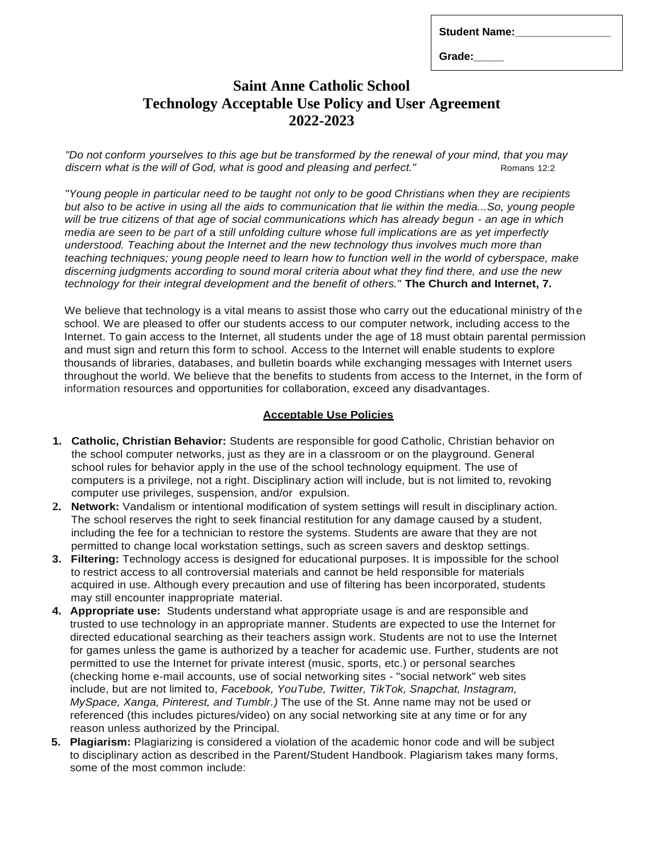| <b>Student Name:</b> |  |
|----------------------|--|
|----------------------|--|

**Grade:\_\_\_\_\_**

## **Saint Anne Catholic School Technology Acceptable Use Policy and User Agreement 2022-2023**

"Do not conform yourselves to this age but be transformed by the renewal of your mind, that you may *discern* what *is* the *will* of God, what *is* good and pleasing and perfect." Romans 12:2

*"Young people in particular need to be taught not only to be good Christians when they are recipients but also to be active in using all the aids to communication that lie within the media...So, young people*  will be true citizens of that age of social communications which has already begun - an age in which *media are seen to be part of* a *still unfolding culture whose full implications are as yet imperfectly understood. Teaching about the Internet and the new technology thus involves much more than teaching techniques; young people need to learn how to function well in the world of cyberspace, make discerning judgments according to sound moral criteria about what they find there, and use the new technology for their integral development and the benefit of others."* **The Church and Internet, 7.**

We believe that technology is a vital means to assist those who carry out the educational ministry of the school. We are pleased to offer our students access to our computer network, including access to the Internet. To gain access to the Internet, all students under the age of 18 must obtain parental permission and must sign and return this form to school. Access to the Internet will enable students to explore thousands of libraries, databases, and bulletin boards while exchanging messages with Internet users throughout the world. We believe that the benefits to students from access to the Internet, in the form of information resources and opportunities for collaboration, exceed any disadvantages.

## **Acceptable Use Policies**

- **1. Catholic, Christian Behavior:** Students are responsible for good Catholic, Christian behavior on the school computer networks, just as they are in a classroom or on the playground. General school rules for behavior apply in the use of the school technology equipment. The use of computers is a privilege, not a right. Disciplinary action will include, but is not limited to, revoking computer use privileges, suspension, and/or expulsion.
- **2. Network:** Vandalism or intentional modification of system settings will result in disciplinary action. The school reserves the right to seek financial restitution for any damage caused by a student, including the fee for a technician to restore the systems. Students are aware that they are not permitted to change local workstation settings, such as screen savers and desktop settings.
- **3. Filtering:** Technology access is designed for educational purposes. It is impossible for the school to restrict access to all controversial materials and cannot be held responsible for materials acquired in use. Although every precaution and use of filtering has been incorporated, students may still encounter inappropriate material.
- **4. Appropriate use:** Students understand what appropriate usage is and are responsible and trusted to use technology in an appropriate manner. Students are expected to use the Internet for directed educational searching as their teachers assign work. Students are not to use the Internet for games unless the game is authorized by a teacher for academic use. Further, students are not permitted to use the Internet for private interest (music, sports, etc.) or personal searches (checking home e-mail accounts, use of social networking sites - "social network" web sites include, but are not limited to, *Facebook, YouTube, Twitter, TikTok, Snapchat, Instagram, MySpace, Xanga, Pinterest, and Tumblr.)* The use of the St. Anne name may not be used or referenced (this includes pictures/video) on any social networking site at any time or for any reason unless authorized by the Principal.
- **5. Plagiarism:** Plagiarizing is considered a violation of the academic honor code and will be subject to disciplinary action as described in the Parent/Student Handbook. Plagiarism takes many forms, some of the most common include: